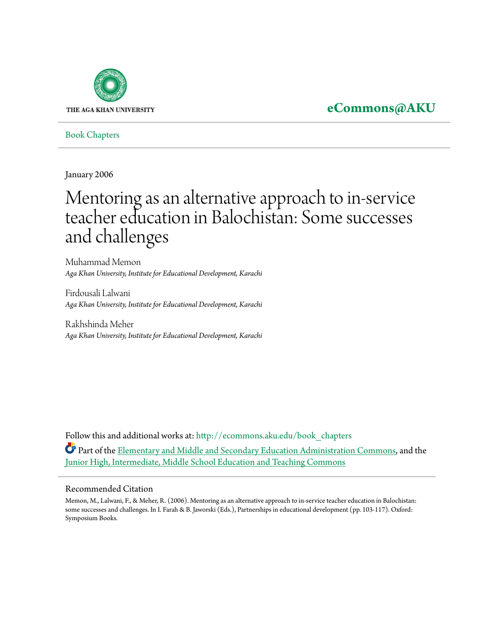

# **[eCommons@AKU](http://ecommons.aku.edu?utm_source=ecommons.aku.edu%2Fbook_chapters%2F22&utm_medium=PDF&utm_campaign=PDFCoverPages)**

[Book Chapters](http://ecommons.aku.edu/book_chapters?utm_source=ecommons.aku.edu%2Fbook_chapters%2F22&utm_medium=PDF&utm_campaign=PDFCoverPages)

January 2006

# Mentoring as an alternative approach to in-service teacher education in Balochistan: Some successes and challenges

Muhammad Memon *Aga Khan University, Institute for Educational Development, Karachi*

Firdousali Lalwani *Aga Khan University, Institute for Educational Development, Karachi*

Rakhshinda Meher *Aga Khan University, Institute for Educational Development, Karachi*

Follow this and additional works at: [http://ecommons.aku.edu/book\\_chapters](http://ecommons.aku.edu/book_chapters?utm_source=ecommons.aku.edu%2Fbook_chapters%2F22&utm_medium=PDF&utm_campaign=PDFCoverPages) Part of the [Elementary and Middle and Secondary Education Administration Commons,](http://network.bepress.com/hgg/discipline/790?utm_source=ecommons.aku.edu%2Fbook_chapters%2F22&utm_medium=PDF&utm_campaign=PDFCoverPages) and the [Junior High, Intermediate, Middle School Education and Teaching Commons](http://network.bepress.com/hgg/discipline/807?utm_source=ecommons.aku.edu%2Fbook_chapters%2F22&utm_medium=PDF&utm_campaign=PDFCoverPages)

# Recommended Citation

Memon, M., Lalwani, F., & Meher, R. (2006). Mentoring as an alternative approach to in-service teacher education in Balochistan: some successes and challenges. In I. Farah & B. Jaworski (Eds.), Partnerships in educational development (pp. 103-117). Oxford: Symposium Books.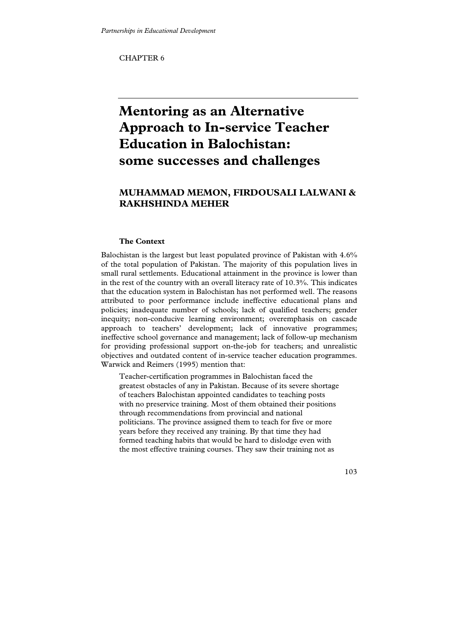CHAPTER 6

# **Mentoring as an Alternative Approach to In-service Teacher Education in Balochistan: some successes and challenges**

# **MUHAMMAD MEMON, FIRDOUSALI LALWANI & RAKHSHINDA MEHER**

#### **The Context**

Balochistan is the largest but least populated province of Pakistan with 4.6% of the total population of Pakistan. The majority of this population lives in small rural settlements. Educational attainment in the province is lower than in the rest of the country with an overall literacy rate of 10.3%. This indicates that the education system in Balochistan has not performed well. The reasons attributed to poor performance include ineffective educational plans and policies; inadequate number of schools; lack of qualified teachers; gender inequity; non-conducive learning environment; overemphasis on cascade approach to teachers' development; lack of innovative programmes; ineffective school governance and management; lack of follow-up mechanism for providing professional support on-the-job for teachers; and unrealistic objectives and outdated content of in-service teacher education programmes. Warwick and Reimers (1995) mention that:

Teacher-certification programmes in Balochistan faced the greatest obstacles of any in Pakistan. Because of its severe shortage of teachers Balochistan appointed candidates to teaching posts with no preservice training. Most of them obtained their positions through recommendations from provincial and national politicians. The province assigned them to teach for five or more years before they received any training. By that time they had formed teaching habits that would be hard to dislodge even with the most effective training courses. They saw their training not as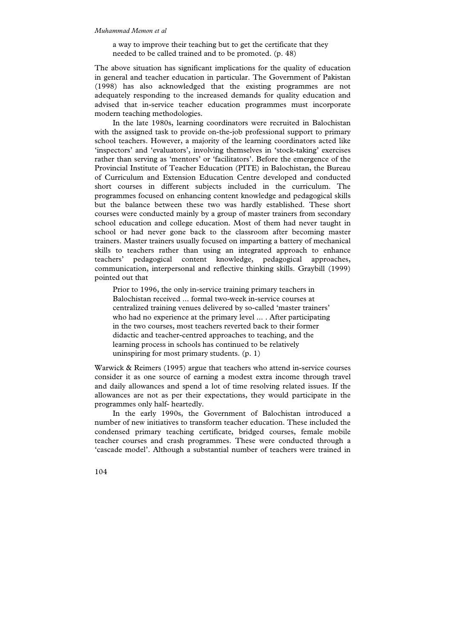a way to improve their teaching but to get the certificate that they needed to be called trained and to be promoted. (p. 48)

The above situation has significant implications for the quality of education in general and teacher education in particular. The Government of Pakistan (1998) has also acknowledged that the existing programmes are not adequately responding to the increased demands for quality education and advised that in-service teacher education programmes must incorporate modern teaching methodologies.

In the late 1980s, learning coordinators were recruited in Balochistan with the assigned task to provide on-the-job professional support to primary school teachers. However, a majority of the learning coordinators acted like 'inspectors' and 'evaluators', involving themselves in 'stock-taking' exercises rather than serving as 'mentors' or 'facilitators'. Before the emergence of the Provincial Institute of Teacher Education (PITE) in Balochistan, the Bureau of Curriculum and Extension Education Centre developed and conducted short courses in different subjects included in the curriculum. The programmes focused on enhancing content knowledge and pedagogical skills but the balance between these two was hardly established. These short courses were conducted mainly by a group of master trainers from secondary school education and college education. Most of them had never taught in school or had never gone back to the classroom after becoming master trainers. Master trainers usually focused on imparting a battery of mechanical skills to teachers rather than using an integrated approach to enhance teachers' pedagogical content knowledge, pedagogical approaches, communication, interpersonal and reflective thinking skills. Graybill (1999) pointed out that

Prior to 1996, the only in-service training primary teachers in Balochistan received ... formal two-week in-service courses at centralized training venues delivered by so-called 'master trainers' who had no experience at the primary level ... . After participating in the two courses, most teachers reverted back to their former didactic and teacher-centred approaches to teaching, and the learning process in schools has continued to be relatively uninspiring for most primary students. (p. 1)

Warwick & Reimers (1995) argue that teachers who attend in-service courses consider it as one source of earning a modest extra income through travel and daily allowances and spend a lot of time resolving related issues. If the allowances are not as per their expectations, they would participate in the programmes only half- heartedly.

In the early 1990s, the Government of Balochistan introduced a number of new initiatives to transform teacher education. These included the condensed primary teaching certificate, bridged courses, female mobile teacher courses and crash programmes. These were conducted through a 'cascade model'. Although a substantial number of teachers were trained in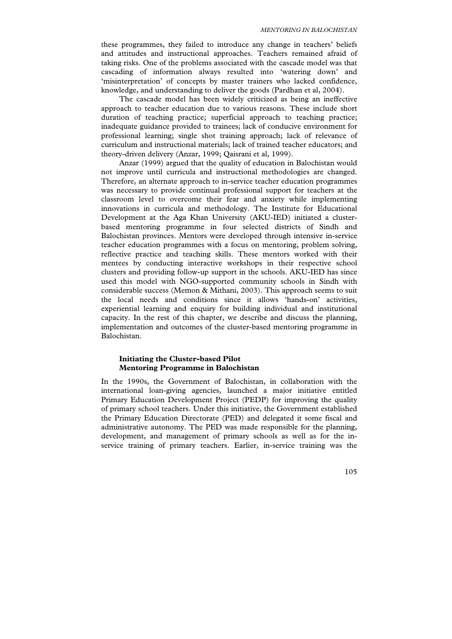these programmes, they failed to introduce any change in teachers' beliefs and attitudes and instructional approaches. Teachers remained afraid of taking risks. One of the problems associated with the cascade model was that cascading of information always resulted into 'watering down' and 'misinterpretation' of concepts by master trainers who lacked confidence, knowledge, and understanding to deliver the goods (Pardhan et al, 2004).

The cascade model has been widely criticized as being an ineffective approach to teacher education due to various reasons. These include short duration of teaching practice; superficial approach to teaching practice; inadequate guidance provided to trainees; lack of conducive environment for professional learning; single shot training approach; lack of relevance of curriculum and instructional materials; lack of trained teacher educators; and theory-driven delivery (Anzar, 1999; Qaisrani et al, 1999).

Anzar (1999) argued that the quality of education in Balochistan would not improve until curricula and instructional methodologies are changed. Therefore, an alternate approach to in-service teacher education programmes was necessary to provide continual professional support for teachers at the classroom level to overcome their fear and anxiety while implementing innovations in curricula and methodology. The Institute for Educational Development at the Aga Khan University (AKU-IED) initiated a clusterbased mentoring programme in four selected districts of Sindh and Balochistan provinces. Mentors were developed through intensive in-service teacher education programmes with a focus on mentoring, problem solving, reflective practice and teaching skills. These mentors worked with their mentees by conducting interactive workshops in their respective school clusters and providing follow-up support in the schools. AKU-IED has since used this model with NGO-supported community schools in Sindh with considerable success (Memon & Mithani, 2003). This approach seems to suit the local needs and conditions since it allows 'hands-on' activities, experiential learning and enquiry for building individual and institutional capacity. In the rest of this chapter, we describe and discuss the planning, implementation and outcomes of the cluster-based mentoring programme in Balochistan.

# **Initiating the Cluster-based Pilot Mentoring Programme in Balochistan**

In the 1990s, the Government of Balochistan, in collaboration with the international loan-giving agencies, launched a major initiative entitled Primary Education Development Project (PEDP) for improving the quality of primary school teachers. Under this initiative, the Government established the Primary Education Directorate (PED) and delegated it some fiscal and administrative autonomy. The PED was made responsible for the planning, development, and management of primary schools as well as for the inservice training of primary teachers. Earlier, in-service training was the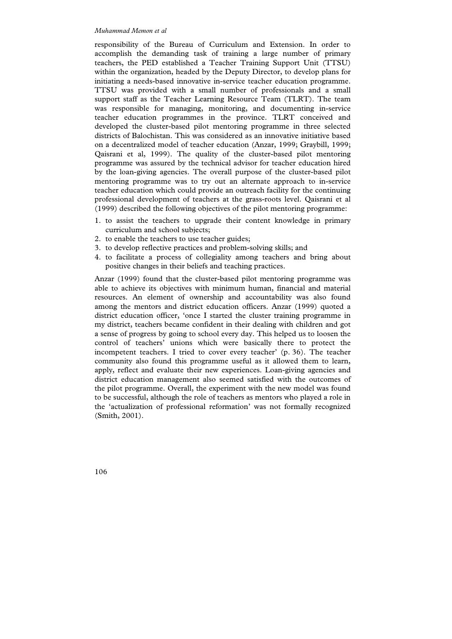responsibility of the Bureau of Curriculum and Extension. In order to accomplish the demanding task of training a large number of primary teachers, the PED established a Teacher Training Support Unit (TTSU) within the organization, headed by the Deputy Director, to develop plans for initiating a needs-based innovative in-service teacher education programme. TTSU was provided with a small number of professionals and a small support staff as the Teacher Learning Resource Team (TLRT). The team was responsible for managing, monitoring, and documenting in-service teacher education programmes in the province. TLRT conceived and developed the cluster-based pilot mentoring programme in three selected districts of Balochistan. This was considered as an innovative initiative based on a decentralized model of teacher education (Anzar, 1999; Graybill, 1999; Qaisrani et al, 1999). The quality of the cluster-based pilot mentoring programme was assured by the technical advisor for teacher education hired by the loan-giving agencies. The overall purpose of the cluster-based pilot mentoring programme was to try out an alternate approach to in-service teacher education which could provide an outreach facility for the continuing professional development of teachers at the grass-roots level. Qaisrani et al (1999) described the following objectives of the pilot mentoring programme:

- 1. to assist the teachers to upgrade their content knowledge in primary curriculum and school subjects;
- 2. to enable the teachers to use teacher guides;
- 3. to develop reflective practices and problem-solving skills; and
- 4. to facilitate a process of collegiality among teachers and bring about positive changes in their beliefs and teaching practices.

Anzar (1999) found that the cluster-based pilot mentoring programme was able to achieve its objectives with minimum human, financial and material resources. An element of ownership and accountability was also found among the mentors and district education officers. Anzar (1999) quoted a district education officer, 'once I started the cluster training programme in my district, teachers became confident in their dealing with children and got a sense of progress by going to school every day. This helped us to loosen the control of teachers' unions which were basically there to protect the incompetent teachers. I tried to cover every teacher' (p. 36). The teacher community also found this programme useful as it allowed them to learn, apply, reflect and evaluate their new experiences. Loan-giving agencies and district education management also seemed satisfied with the outcomes of the pilot programme. Overall, the experiment with the new model was found to be successful, although the role of teachers as mentors who played a role in the 'actualization of professional reformation' was not formally recognized (Smith, 2001).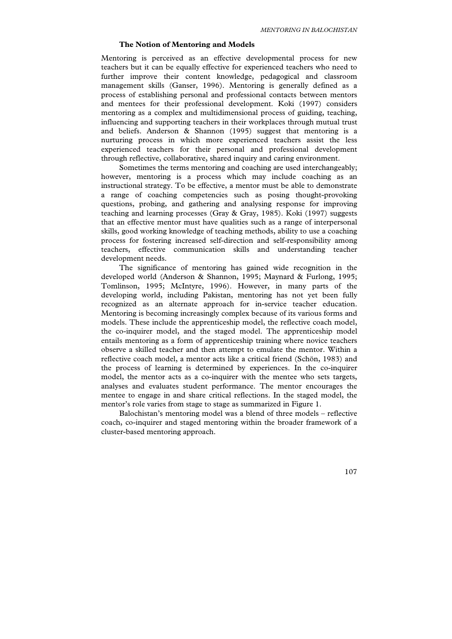# **The Notion of Mentoring and Models**

Mentoring is perceived as an effective developmental process for new teachers but it can be equally effective for experienced teachers who need to further improve their content knowledge, pedagogical and classroom management skills (Ganser, 1996). Mentoring is generally defined as a process of establishing personal and professional contacts between mentors and mentees for their professional development. Koki (1997) considers mentoring as a complex and multidimensional process of guiding, teaching, influencing and supporting teachers in their workplaces through mutual trust and beliefs. Anderson & Shannon (1995) suggest that mentoring is a nurturing process in which more experienced teachers assist the less experienced teachers for their personal and professional development through reflective, collaborative, shared inquiry and caring environment.

Sometimes the terms mentoring and coaching are used interchangeably; however, mentoring is a process which may include coaching as an instructional strategy. To be effective, a mentor must be able to demonstrate a range of coaching competencies such as posing thought-provoking questions, probing, and gathering and analysing response for improving teaching and learning processes (Gray & Gray, 1985). Koki (1997) suggests that an effective mentor must have qualities such as a range of interpersonal skills, good working knowledge of teaching methods, ability to use a coaching process for fostering increased self-direction and self-responsibility among teachers, effective communication skills and understanding teacher development needs.

The significance of mentoring has gained wide recognition in the developed world (Anderson & Shannon, 1995; Maynard & Furlong, 1995; Tomlinson, 1995; McIntyre, 1996). However, in many parts of the developing world, including Pakistan, mentoring has not yet been fully recognized as an alternate approach for in-service teacher education. Mentoring is becoming increasingly complex because of its various forms and models. These include the apprenticeship model, the reflective coach model, the co-inquirer model, and the staged model. The apprenticeship model entails mentoring as a form of apprenticeship training where novice teachers observe a skilled teacher and then attempt to emulate the mentor. Within a reflective coach model, a mentor acts like a critical friend (Schön, 1983) and the process of learning is determined by experiences. In the co-inquirer model, the mentor acts as a co-inquirer with the mentee who sets targets, analyses and evaluates student performance. The mentor encourages the mentee to engage in and share critical reflections. In the staged model, the mentor's role varies from stage to stage as summarized in Figure 1.

Balochistan's mentoring model was a blend of three models – reflective coach, co-inquirer and staged mentoring within the broader framework of a cluster-based mentoring approach.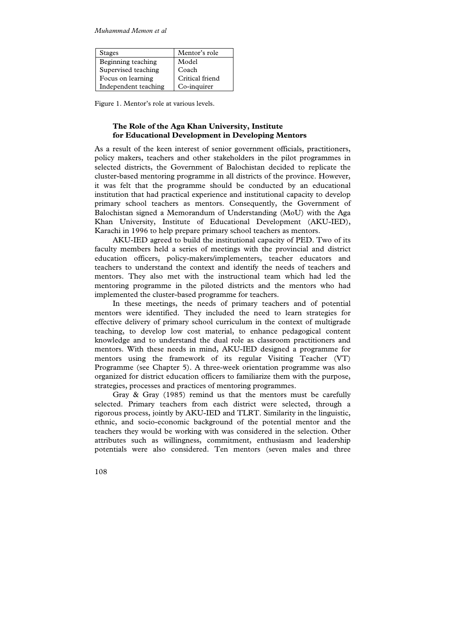| <b>Stages</b>        | Mentor's role   |
|----------------------|-----------------|
| Beginning teaching   | Model           |
| Supervised teaching  | Coach           |
| Focus on learning    | Critical friend |
| Independent teaching | Co-inquirer     |

Figure 1. Mentor's role at various levels.

# **The Role of the Aga Khan University, Institute for Educational Development in Developing Mentors**

As a result of the keen interest of senior government officials, practitioners, policy makers, teachers and other stakeholders in the pilot programmes in selected districts, the Government of Balochistan decided to replicate the cluster-based mentoring programme in all districts of the province. However, it was felt that the programme should be conducted by an educational institution that had practical experience and institutional capacity to develop primary school teachers as mentors. Consequently, the Government of Balochistan signed a Memorandum of Understanding (MoU) with the Aga Khan University, Institute of Educational Development (AKU-IED), Karachi in 1996 to help prepare primary school teachers as mentors.

AKU-IED agreed to build the institutional capacity of PED. Two of its faculty members held a series of meetings with the provincial and district education officers, policy-makers/implementers, teacher educators and teachers to understand the context and identify the needs of teachers and mentors. They also met with the instructional team which had led the mentoring programme in the piloted districts and the mentors who had implemented the cluster-based programme for teachers.

In these meetings, the needs of primary teachers and of potential mentors were identified. They included the need to learn strategies for effective delivery of primary school curriculum in the context of multigrade teaching, to develop low cost material, to enhance pedagogical content knowledge and to understand the dual role as classroom practitioners and mentors. With these needs in mind, AKU-IED designed a programme for mentors using the framework of its regular Visiting Teacher (VT) Programme (see Chapter 5). A three-week orientation programme was also organized for district education officers to familiarize them with the purpose, strategies, processes and practices of mentoring programmes.

Gray & Gray (1985) remind us that the mentors must be carefully selected. Primary teachers from each district were selected, through a rigorous process, jointly by AKU-IED and TLRT. Similarity in the linguistic, ethnic, and socio-economic background of the potential mentor and the teachers they would be working with was considered in the selection. Other attributes such as willingness, commitment, enthusiasm and leadership potentials were also considered. Ten mentors (seven males and three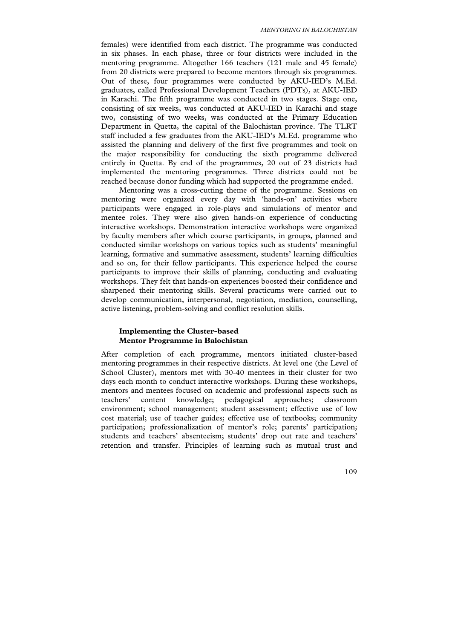females) were identified from each district. The programme was conducted in six phases. In each phase, three or four districts were included in the mentoring programme. Altogether 166 teachers (121 male and 45 female) from 20 districts were prepared to become mentors through six programmes. Out of these, four programmes were conducted by AKU-IED's M.Ed. graduates, called Professional Development Teachers (PDTs), at AKU-IED in Karachi. The fifth programme was conducted in two stages. Stage one, consisting of six weeks, was conducted at AKU-IED in Karachi and stage two, consisting of two weeks, was conducted at the Primary Education Department in Quetta, the capital of the Balochistan province. The TLRT staff included a few graduates from the AKU-IED's M.Ed. programme who assisted the planning and delivery of the first five programmes and took on the major responsibility for conducting the sixth programme delivered entirely in Quetta. By end of the programmes, 20 out of 23 districts had implemented the mentoring programmes. Three districts could not be reached because donor funding which had supported the programme ended.

Mentoring was a cross-cutting theme of the programme. Sessions on mentoring were organized every day with 'hands-on' activities where participants were engaged in role-plays and simulations of mentor and mentee roles. They were also given hands-on experience of conducting interactive workshops. Demonstration interactive workshops were organized by faculty members after which course participants, in groups, planned and conducted similar workshops on various topics such as students' meaningful learning, formative and summative assessment, students' learning difficulties and so on, for their fellow participants. This experience helped the course participants to improve their skills of planning, conducting and evaluating workshops. They felt that hands-on experiences boosted their confidence and sharpened their mentoring skills. Several practicums were carried out to develop communication, interpersonal, negotiation, mediation, counselling, active listening, problem-solving and conflict resolution skills.

### **Implementing the Cluster-based Mentor Programme in Balochistan**

After completion of each programme, mentors initiated cluster-based mentoring programmes in their respective districts. At level one (the Level of School Cluster), mentors met with 30-40 mentees in their cluster for two days each month to conduct interactive workshops. During these workshops, mentors and mentees focused on academic and professional aspects such as teachers' content knowledge; pedagogical approaches; classroom environment; school management; student assessment; effective use of low cost material; use of teacher guides; effective use of textbooks; community participation; professionalization of mentor's role; parents' participation; students and teachers' absenteeism; students' drop out rate and teachers' retention and transfer. Principles of learning such as mutual trust and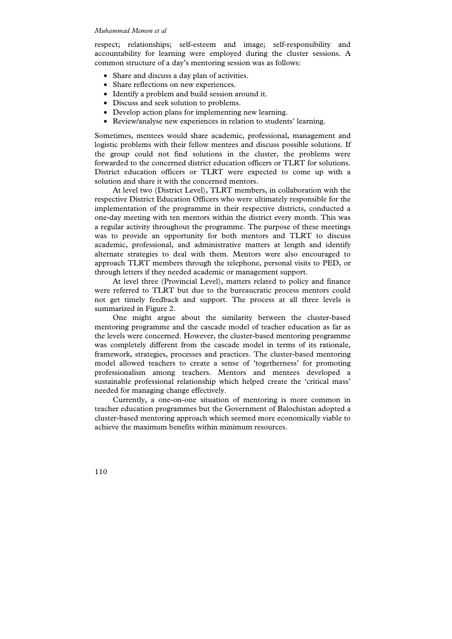respect; relationships; self-esteem and image; self-responsibility and accountability for learning were employed during the cluster sessions. A common structure of a day's mentoring session was as follows:

- Share and discuss a day plan of activities.
- Share reflections on new experiences.
- Identify a problem and build session around it.
- Discuss and seek solution to problems.
- Develop action plans for implementing new learning.
- Review/analyse new experiences in relation to students' learning.

Sometimes, mentees would share academic, professional, management and logistic problems with their fellow mentees and discuss possible solutions. If the group could not find solutions in the cluster, the problems were forwarded to the concerned district education officers or TLRT for solutions. District education officers or TLRT were expected to come up with a solution and share it with the concerned mentors.

At level two (District Level), TLRT members, in collaboration with the respective District Education Officers who were ultimately responsible for the implementation of the programme in their respective districts, conducted a one-day meeting with ten mentors within the district every month. This was a regular activity throughout the programme. The purpose of these meetings was to provide an opportunity for both mentors and TLRT to discuss academic, professional, and administrative matters at length and identify alternate strategies to deal with them. Mentors were also encouraged to approach TLRT members through the telephone, personal visits to PED, or through letters if they needed academic or management support.

At level three (Provincial Level), matters related to policy and finance were referred to TLRT but due to the bureaucratic process mentors could not get timely feedback and support. The process at all three levels is summarized in Figure 2.

One might argue about the similarity between the cluster-based mentoring programme and the cascade model of teacher education as far as the levels were concerned. However, the cluster-based mentoring programme was completely different from the cascade model in terms of its rationale, framework, strategies, processes and practices. The cluster-based mentoring model allowed teachers to create a sense of 'togetherness' for promoting professionalism among teachers. Mentors and mentees developed a sustainable professional relationship which helped create the 'critical mass' needed for managing change effectively.

Currently, a one-on-one situation of mentoring is more common in teacher education programmes but the Government of Balochistan adopted a cluster-based mentoring approach which seemed more economically viable to achieve the maximum benefits within minimum resources.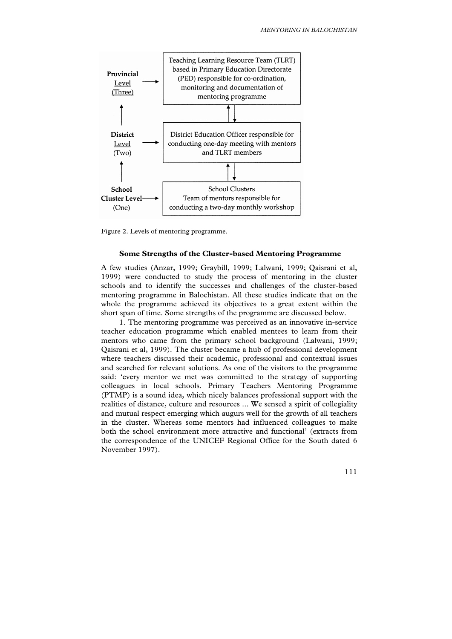

Figure 2. Levels of mentoring programme.

# **Some Strengths of the Cluster-based Mentoring Programme**

A few studies (Anzar, 1999; Graybill, 1999; Lalwani, 1999; Qaisrani et al, 1999) were conducted to study the process of mentoring in the cluster schools and to identify the successes and challenges of the cluster-based mentoring programme in Balochistan. All these studies indicate that on the whole the programme achieved its objectives to a great extent within the short span of time. Some strengths of the programme are discussed below.

1. The mentoring programme was perceived as an innovative in-service teacher education programme which enabled mentees to learn from their mentors who came from the primary school background (Lalwani, 1999; Qaisrani et al, 1999). The cluster became a hub of professional development where teachers discussed their academic, professional and contextual issues and searched for relevant solutions. As one of the visitors to the programme said: 'every mentor we met was committed to the strategy of supporting colleagues in local schools. Primary Teachers Mentoring Programme (PTMP) is a sound idea, which nicely balances professional support with the realities of distance, culture and resources ... We sensed a spirit of collegiality and mutual respect emerging which augurs well for the growth of all teachers in the cluster. Whereas some mentors had influenced colleagues to make both the school environment more attractive and functional' (extracts from the correspondence of the UNICEF Regional Office for the South dated 6 November 1997).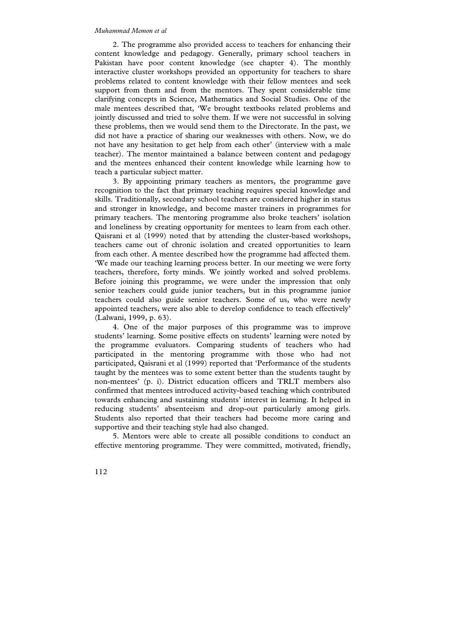2. The programme also provided access to teachers for enhancing their content knowledge and pedagogy. Generally, primary school teachers in Pakistan have poor content knowledge (see chapter 4). The monthly interactive cluster workshops provided an opportunity for teachers to share problems related to content knowledge with their fellow mentees and seek support from them and from the mentors. They spent considerable time clarifying concepts in Science, Mathematics and Social Studies. One of the male mentees described that, 'We brought textbooks related problems and jointly discussed and tried to solve them. If we were not successful in solving these problems, then we would send them to the Directorate. In the past, we did not have a practice of sharing our weaknesses with others. Now, we do not have any hesitation to get help from each other' (interview with a male teacher). The mentor maintained a balance between content and pedagogy and the mentees enhanced their content knowledge while learning how to teach a particular subject matter.

3. By appointing primary teachers as mentors, the programme gave recognition to the fact that primary teaching requires special knowledge and skills. Traditionally, secondary school teachers are considered higher in status and stronger in knowledge, and become master trainers in programmes for primary teachers. The mentoring programme also broke teachers' isolation and loneliness by creating opportunity for mentees to learn from each other. Qaisrani et al (1999) noted that by attending the cluster-based workshops, teachers came out of chronic isolation and created opportunities to learn from each other. A mentee described how the programme had affected them. 'We made our teaching learning process better. In our meeting we were forty teachers, therefore, forty minds. We jointly worked and solved problems. Before joining this programme, we were under the impression that only senior teachers could guide junior teachers, but in this programme junior teachers could also guide senior teachers. Some of us, who were newly appointed teachers, were also able to develop confidence to teach effectively' (Lalwani, 1999, p. 63).

4. One of the major purposes of this programme was to improve students' learning. Some positive effects on students' learning were noted by the programme evaluators. Comparing students of teachers who had participated in the mentoring programme with those who had not participated, Qaisrani et al (1999) reported that 'Performance of the students taught by the mentees was to some extent better than the students taught by non-mentees' (p. i). District education officers and TRLT members also confirmed that mentees introduced activity-based teaching which contributed towards enhancing and sustaining students' interest in learning. It helped in reducing students' absenteeism and drop-out particularly among girls. Students also reported that their teachers had become more caring and supportive and their teaching style had also changed.

5. Mentors were able to create all possible conditions to conduct an effective mentoring programme. They were committed, motivated, friendly,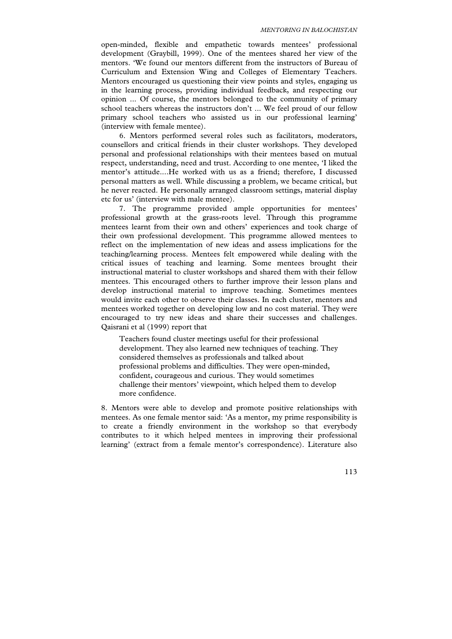open-minded, flexible and empathetic towards mentees' professional development (Graybill, 1999). One of the mentees shared her view of the mentors. 'We found our mentors different from the instructors of Bureau of Curriculum and Extension Wing and Colleges of Elementary Teachers. Mentors encouraged us questioning their view points and styles, engaging us in the learning process, providing individual feedback, and respecting our opinion ... Of course, the mentors belonged to the community of primary school teachers whereas the instructors don't ... We feel proud of our fellow primary school teachers who assisted us in our professional learning' (interview with female mentee).

6. Mentors performed several roles such as facilitators, moderators, counsellors and critical friends in their cluster workshops. They developed personal and professional relationships with their mentees based on mutual respect, understanding, need and trust. According to one mentee, 'I liked the mentor's attitude....He worked with us as a friend; therefore, I discussed personal matters as well. While discussing a problem, we became critical, but he never reacted. He personally arranged classroom settings, material display etc for us' (interview with male mentee).

7. The programme provided ample opportunities for mentees' professional growth at the grass-roots level. Through this programme mentees learnt from their own and others' experiences and took charge of their own professional development. This programme allowed mentees to reflect on the implementation of new ideas and assess implications for the teaching/learning process. Mentees felt empowered while dealing with the critical issues of teaching and learning. Some mentees brought their instructional material to cluster workshops and shared them with their fellow mentees. This encouraged others to further improve their lesson plans and develop instructional material to improve teaching. Sometimes mentees would invite each other to observe their classes. In each cluster, mentors and mentees worked together on developing low and no cost material. They were encouraged to try new ideas and share their successes and challenges. Qaisrani et al (1999) report that

Teachers found cluster meetings useful for their professional development. They also learned new techniques of teaching. They considered themselves as professionals and talked about professional problems and difficulties. They were open-minded, confident, courageous and curious. They would sometimes challenge their mentors' viewpoint, which helped them to develop more confidence.

8. Mentors were able to develop and promote positive relationships with mentees. As one female mentor said: 'As a mentor, my prime responsibility is to create a friendly environment in the workshop so that everybody contributes to it which helped mentees in improving their professional learning' (extract from a female mentor's correspondence). Literature also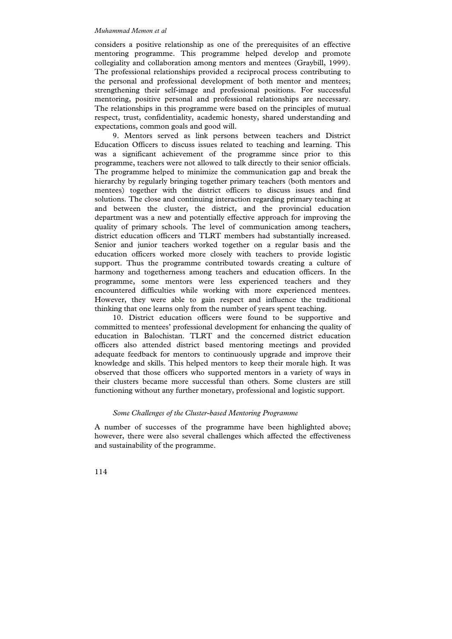considers a positive relationship as one of the prerequisites of an effective mentoring programme. This programme helped develop and promote collegiality and collaboration among mentors and mentees (Graybill, 1999). The professional relationships provided a reciprocal process contributing to the personal and professional development of both mentor and mentees; strengthening their self-image and professional positions. For successful mentoring, positive personal and professional relationships are necessary. The relationships in this programme were based on the principles of mutual respect, trust, confidentiality, academic honesty, shared understanding and expectations, common goals and good will.

9. Mentors served as link persons between teachers and District Education Officers to discuss issues related to teaching and learning. This was a significant achievement of the programme since prior to this programme, teachers were not allowed to talk directly to their senior officials. The programme helped to minimize the communication gap and break the hierarchy by regularly bringing together primary teachers (both mentors and mentees) together with the district officers to discuss issues and find solutions. The close and continuing interaction regarding primary teaching at and between the cluster, the district, and the provincial education department was a new and potentially effective approach for improving the quality of primary schools. The level of communication among teachers, district education officers and TLRT members had substantially increased. Senior and junior teachers worked together on a regular basis and the education officers worked more closely with teachers to provide logistic support. Thus the programme contributed towards creating a culture of harmony and togetherness among teachers and education officers. In the programme, some mentors were less experienced teachers and they encountered difficulties while working with more experienced mentees. However, they were able to gain respect and influence the traditional thinking that one learns only from the number of years spent teaching.

10. District education officers were found to be supportive and committed to mentees' professional development for enhancing the quality of education in Balochistan. TLRT and the concerned district education officers also attended district based mentoring meetings and provided adequate feedback for mentors to continuously upgrade and improve their knowledge and skills. This helped mentors to keep their morale high. It was observed that those officers who supported mentors in a variety of ways in their clusters became more successful than others. Some clusters are still functioning without any further monetary, professional and logistic support.

# *Some Challenges of the Cluster-based Mentoring Programme*

A number of successes of the programme have been highlighted above; however, there were also several challenges which affected the effectiveness and sustainability of the programme.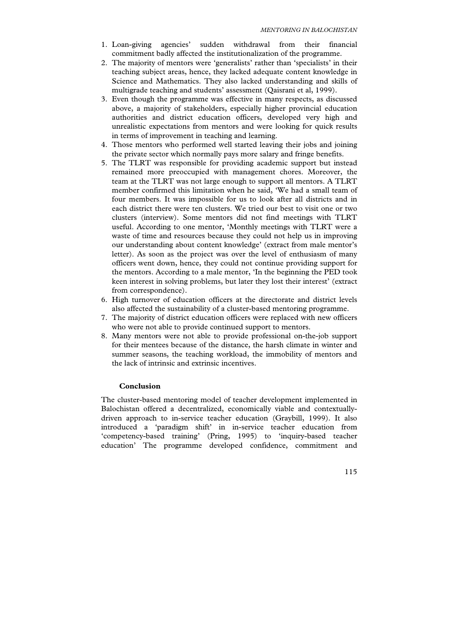- 1. Loan-giving agencies' sudden withdrawal from their financial commitment badly affected the institutionalization of the programme.
- 2. The majority of mentors were 'generalists' rather than 'specialists' in their teaching subject areas, hence, they lacked adequate content knowledge in Science and Mathematics. They also lacked understanding and skills of multigrade teaching and students' assessment (Qaisrani et al, 1999).
- 3. Even though the programme was effective in many respects, as discussed above, a majority of stakeholders, especially higher provincial education authorities and district education officers, developed very high and unrealistic expectations from mentors and were looking for quick results in terms of improvement in teaching and learning.
- 4. Those mentors who performed well started leaving their jobs and joining the private sector which normally pays more salary and fringe benefits.
- 5. The TLRT was responsible for providing academic support but instead remained more preoccupied with management chores. Moreover, the team at the TLRT was not large enough to support all mentors. A TLRT member confirmed this limitation when he said, 'We had a small team of four members. It was impossible for us to look after all districts and in each district there were ten clusters. We tried our best to visit one or two clusters (interview). Some mentors did not find meetings with TLRT useful. According to one mentor, 'Monthly meetings with TLRT were a waste of time and resources because they could not help us in improving our understanding about content knowledge' (extract from male mentor's letter). As soon as the project was over the level of enthusiasm of many officers went down, hence, they could not continue providing support for the mentors. According to a male mentor, 'In the beginning the PED took keen interest in solving problems, but later they lost their interest' (extract from correspondence).
- 6. High turnover of education officers at the directorate and district levels also affected the sustainability of a cluster-based mentoring programme.
- 7. The majority of district education officers were replaced with new officers who were not able to provide continued support to mentors.
- 8. Many mentors were not able to provide professional on-the-job support for their mentees because of the distance, the harsh climate in winter and summer seasons, the teaching workload, the immobility of mentors and the lack of intrinsic and extrinsic incentives.

### **Conclusion**

The cluster-based mentoring model of teacher development implemented in Balochistan offered a decentralized, economically viable and contextuallydriven approach to in-service teacher education (Graybill, 1999). It also introduced a 'paradigm shift' in in-service teacher education from 'competency-based training' (Pring, 1995) to 'inquiry-based teacher education' The programme developed confidence, commitment and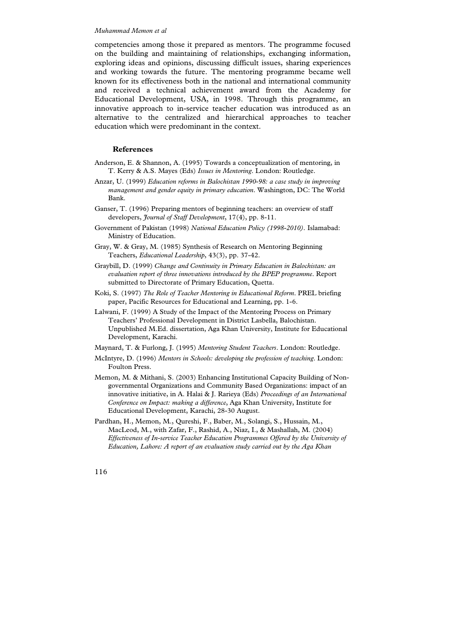competencies among those it prepared as mentors. The programme focused on the building and maintaining of relationships, exchanging information, exploring ideas and opinions, discussing difficult issues, sharing experiences and working towards the future. The mentoring programme became well known for its effectiveness both in the national and international community and received a technical achievement award from the Academy for Educational Development, USA, in 1998. Through this programme, an innovative approach to in-service teacher education was introduced as an alternative to the centralized and hierarchical approaches to teacher education which were predominant in the context.

#### **References**

- Anderson, E. & Shannon, A. (1995) Towards a conceptualization of mentoring, in T. Kerry & A.S. Mayes (Eds) *Issues in Mentoring*. London: Routledge.
- Anzar, U. (1999) *Education reforms in Balochistan 1990-98: a case study in improving management and gender equity in primary education*. Washington, DC: The World Bank.
- Ganser, T. (1996) Preparing mentors of beginning teachers: an overview of staff developers, *Journal of Staff Development*, 17(4), pp. 8-11.
- Government of Pakistan (1998) *National Education Policy (1998-2010).* Islamabad: Ministry of Education.
- Gray, W. & Gray, M. (1985) Synthesis of Research on Mentoring Beginning Teachers, *Educational Leadership*, 43(3), pp. 37-42.
- Graybill, D. (1999) *Change and Continuity in Primary Education in Balochistan: an evaluation report of three innovations introduced by the BPEP programme*. Report submitted to Directorate of Primary Education, Quetta.
- Koki, S. (1997) *The Role of Teacher Mentoring in Educational Reform*. PREL briefing paper, Pacific Resources for Educational and Learning, pp. 1-6.
- Lalwani, F. (1999) A Study of the Impact of the Mentoring Process on Primary Teachers' Professional Development in District Lasbella, Balochistan. Unpublished M.Ed. dissertation, Aga Khan University, Institute for Educational Development, Karachi.
- Maynard, T. & Furlong, J. (1995) *Mentoring Student Teachers*. London: Routledge.
- McIntyre, D. (1996) *Mentors in Schools: developing the profession of teaching*. London: Foulton Press.
- Memon, M. & Mithani, S. (2003) Enhancing Institutional Capacity Building of Nongovernmental Organizations and Community Based Organizations: impact of an innovative initiative, in A. Halai & J. Rarieya (Eds) *Proceedings of an International Conference on Impact: making a difference*, Aga Khan University, Institute for Educational Development, Karachi, 28-30 August.
- Pardhan, H., Memon, M., Qureshi, F., Baber, M., Solangi, S., Hussain, M., MacLeod, M., with Zafar, F., Rashid, A., Niaz, I., & Mashallah, M. (2004) *Effectiveness of In-service Teacher Education Programmes Offered by the University of Education, Lahore: A report of an evaluation study carried out by the Aga Khan*